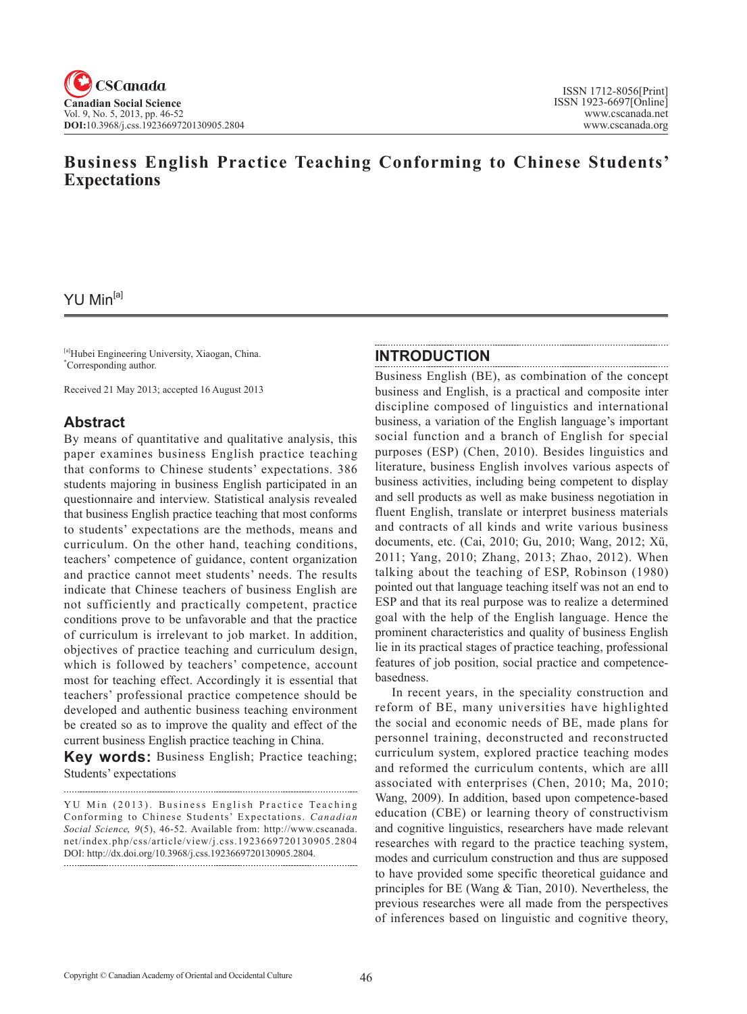# **Business English Practice Teaching Conforming to Chinese Students' Expectations**

## YU Min<sup>[a]</sup>

[a]Hubei Engineering University, Xiaogan, China. \* Corresponding author.

Received 21 May 2013; accepted 16 August 2013

## **Abstract**

By means of quantitative and qualitative analysis, this paper examines business English practice teaching that conforms to Chinese students' expectations. 386 students majoring in business English participated in an questionnaire and interview. Statistical analysis revealed that business English practice teaching that most conforms to students' expectations are the methods, means and curriculum. On the other hand, teaching conditions, teachers' competence of guidance, content organization and practice cannot meet students' needs. The results indicate that Chinese teachers of business English are not sufficiently and practically competent, practice conditions prove to be unfavorable and that the practice of curriculum is irrelevant to job market. In addition, objectives of practice teaching and curriculum design, which is followed by teachers' competence, account most for teaching effect. Accordingly it is essential that teachers' professional practice competence should be developed and authentic business teaching environment be created so as to improve the quality and effect of the current business English practice teaching in China.

**Key words:** Business English; Practice teaching; Students' expectations

#### **INTRODUCTION**

Business English (BE), as combination of the concept business and English, is a practical and composite inter discipline composed of linguistics and international business, a variation of the English language's important social function and a branch of English for special purposes (ESP) (Chen, 2010). Besides linguistics and literature, business English involves various aspects of business activities, including being competent to display and sell products as well as make business negotiation in fluent English, translate or interpret business materials and contracts of all kinds and write various business documents, etc. (Cai, 2010; Gu, 2010; Wang, 2012; Xü, 2011; Yang, 2010; Zhang, 2013; Zhao, 2012). When talking about the teaching of ESP, Robinson (1980) pointed out that language teaching itself was not an end to ESP and that its real purpose was to realize a determined goal with the help of the English language. Hence the prominent characteristics and quality of business English lie in its practical stages of practice teaching, professional features of job position, social practice and competencebasedness.

In recent years, in the speciality construction and reform of BE, many universities have highlighted the social and economic needs of BE, made plans for personnel training, deconstructed and reconstructed curriculum system, explored practice teaching modes and reformed the curriculum contents, which are alll associated with enterprises (Chen, 2010; Ma, 2010; Wang, 2009). In addition, based upon competence-based education (CBE) or learning theory of constructivism and cognitive linguistics, researchers have made relevant researches with regard to the practice teaching system, modes and curriculum construction and thus are supposed to have provided some specific theoretical guidance and principles for BE (Wang & Tian, 2010). Nevertheless, the previous researches were all made from the perspectives of inferences based on linguistic and cognitive theory,

YU Min (2013). Business English Practice Teaching Conforming to Chinese Students' Expectations. *Canadian Social Science*, 9(5), 46-52. Available from: http://www.cscanada. net/index.php/css/article/view/j.css.1923669720130905.2804 DOI: http://dx.doi.org/10.3968/j.css.1923669720130905.2804.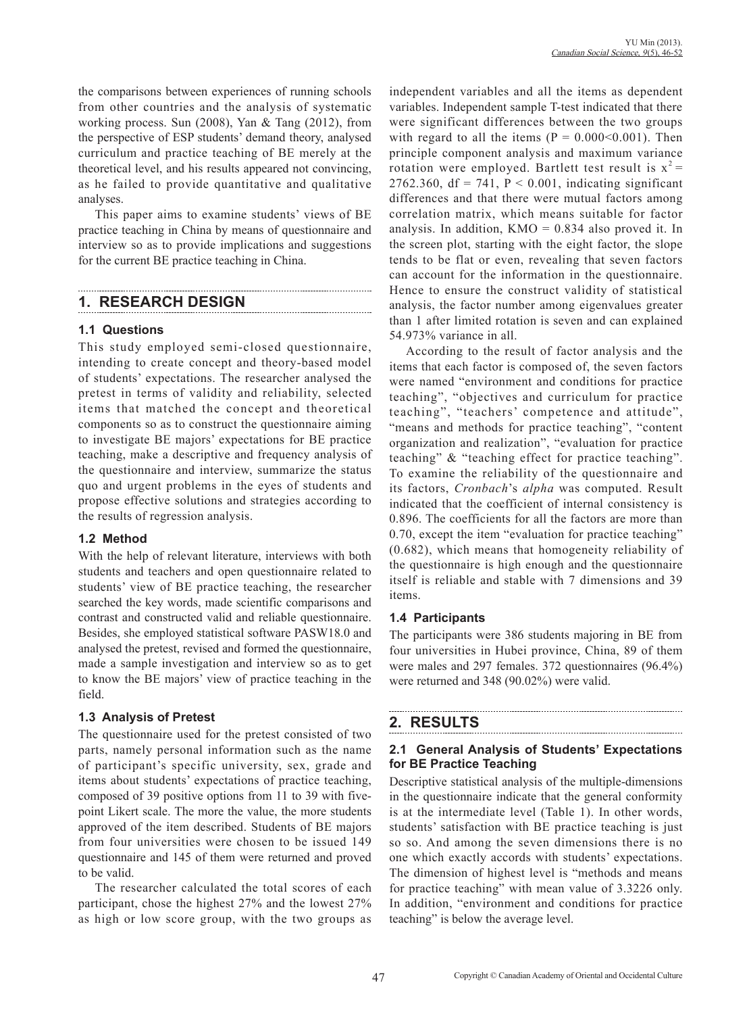the comparisons between experiences of running schools from other countries and the analysis of systematic working process. Sun (2008), Yan & Tang (2012), from the perspective of ESP students' demand theory, analysed curriculum and practice teaching of BE merely at the theoretical level, and his results appeared not convincing, as he failed to provide quantitative and qualitative analyses.

This paper aims to examine students' views of BE practice teaching in China by means of questionnaire and interview so as to provide implications and suggestions for the current BE practice teaching in China.

## **1. RESEARCH DESIGN**

#### **1.1 Questions**

This study employed semi-closed questionnaire, intending to create concept and theory-based model of students' expectations. The researcher analysed the pretest in terms of validity and reliability, selected items that matched the concept and theoretical components so as to construct the questionnaire aiming to investigate BE majors' expectations for BE practice teaching, make a descriptive and frequency analysis of the questionnaire and interview, summarize the status quo and urgent problems in the eyes of students and propose effective solutions and strategies according to the results of regression analysis.

## **1.2 Method**

With the help of relevant literature, interviews with both students and teachers and open questionnaire related to students' view of BE practice teaching, the researcher searched the key words, made scientific comparisons and contrast and constructed valid and reliable questionnaire. Besides, she employed statistical software PASW18.0 and analysed the pretest, revised and formed the questionnaire, made a sample investigation and interview so as to get to know the BE majors' view of practice teaching in the field.

#### **1.3 Analysis of Pretest**

The questionnaire used for the pretest consisted of two parts, namely personal information such as the name of participant's specific university, sex, grade and items about students' expectations of practice teaching, composed of 39 positive options from 11 to 39 with fivepoint Likert scale. The more the value, the more students approved of the item described. Students of BE majors from four universities were chosen to be issued 149 questionnaire and 145 of them were returned and proved to be valid.

The researcher calculated the total scores of each participant, chose the highest 27% and the lowest 27% as high or low score group, with the two groups as independent variables and all the items as dependent variables. Independent sample T-test indicated that there were significant differences between the two groups with regard to all the items  $(P = 0.000<0.001)$ . Then principle component analysis and maximum variance rotation were employed. Bartlett test result is  $x^2 =$ 2762.360, df = 741,  $P < 0.001$ , indicating significant differences and that there were mutual factors among correlation matrix, which means suitable for factor analysis. In addition,  $KMO = 0.834$  also proved it. In the screen plot, starting with the eight factor, the slope tends to be flat or even, revealing that seven factors can account for the information in the questionnaire. Hence to ensure the construct validity of statistical analysis, the factor number among eigenvalues greater than 1 after limited rotation is seven and can explained 54.973% variance in all.

According to the result of factor analysis and the items that each factor is composed of, the seven factors were named "environment and conditions for practice teaching", "objectives and curriculum for practice teaching", "teachers' competence and attitude", "means and methods for practice teaching", "content organization and realization", "evaluation for practice teaching" & "teaching effect for practice teaching". To examine the reliability of the questionnaire and its factors, *Cronbach*'s *alpha* was computed. Result indicated that the coefficient of internal consistency is 0.896. The coefficients for all the factors are more than 0.70, except the item "evaluation for practice teaching" (0.682), which means that homogeneity reliability of the questionnaire is high enough and the questionnaire itself is reliable and stable with 7 dimensions and 39 items.

## **1.4 Participants**

The participants were 386 students majoring in BE from four universities in Hubei province, China, 89 of them were males and 297 females. 372 questionnaires (96.4%) were returned and 348 (90.02%) were valid.

# **2. RESULTS**

#### **2.1 General Analysis of Students' Expectations for BE Practice Teaching**

Descriptive statistical analysis of the multiple-dimensions in the questionnaire indicate that the general conformity is at the intermediate level (Table 1). In other words, students' satisfaction with BE practice teaching is just so so. And among the seven dimensions there is no one which exactly accords with students' expectations. The dimension of highest level is "methods and means for practice teaching" with mean value of 3.3226 only. In addition, "environment and conditions for practice teaching" is below the average level.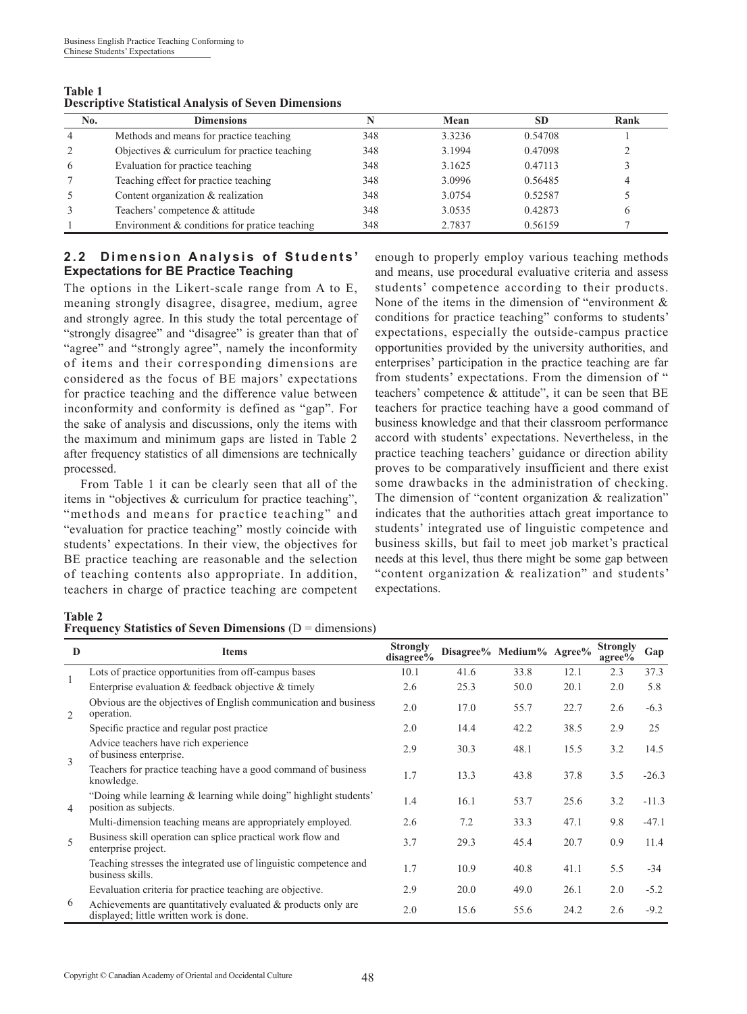| <b>Table 1</b>                                              |  |  |
|-------------------------------------------------------------|--|--|
| <b>Descriptive Statistical Analysis of Seven Dimensions</b> |  |  |

| No. | <b>Dimensions</b>                               |     | Mean   | <b>SD</b> | Rank |
|-----|-------------------------------------------------|-----|--------|-----------|------|
| 4   | Methods and means for practice teaching         | 348 | 3.3236 | 0.54708   |      |
|     | Objectives $&$ curriculum for practice teaching | 348 | 3.1994 | 0.47098   |      |
| 6   | Evaluation for practice teaching                | 348 | 3.1625 | 0.47113   |      |
|     | Teaching effect for practice teaching           | 348 | 3.0996 | 0.56485   |      |
|     | Content organization & realization              | 348 | 3.0754 | 0.52587   |      |
|     | Teachers' competence & attitude                 | 348 | 3.0535 | 0.42873   | 6    |
|     | Environment $&$ conditions for pratice teaching | 348 | 2.7837 | 0.56159   |      |

#### **2.2 Dimension Analysis of Students' Expectations for BE Practice Teaching**

The options in the Likert-scale range from A to E, meaning strongly disagree, disagree, medium, agree and strongly agree. In this study the total percentage of "strongly disagree" and "disagree" is greater than that of "agree" and "strongly agree", namely the inconformity of items and their corresponding dimensions are considered as the focus of BE majors' expectations for practice teaching and the difference value between inconformity and conformity is defined as "gap". For the sake of analysis and discussions, only the items with the maximum and minimum gaps are listed in Table 2 after frequency statistics of all dimensions are technically processed.

From Table 1 it can be clearly seen that all of the items in "objectives & curriculum for practice teaching", "methods and means for practice teaching" and "evaluation for practice teaching" mostly coincide with students' expectations. In their view, the objectives for BE practice teaching are reasonable and the selection of teaching contents also appropriate. In addition, teachers in charge of practice teaching are competent

enough to properly employ various teaching methods and means, use procedural evaluative criteria and assess students' competence according to their products. None of the items in the dimension of "environment & conditions for practice teaching" conforms to students' expectations, especially the outside-campus practice opportunities provided by the university authorities, and enterprises' participation in the practice teaching are far from students' expectations. From the dimension of " teachers' competence & attitude", it can be seen that BE teachers for practice teaching have a good command of business knowledge and that their classroom performance accord with students' expectations. Nevertheless, in the practice teaching teachers' guidance or direction ability proves to be comparatively insufficient and there exist some drawbacks in the administration of checking. The dimension of "content organization & realization" indicates that the authorities attach great importance to students' integrated use of linguistic competence and business skills, but fail to meet job market's practical needs at this level, thus there might be some gap between "content organization & realization" and students' expectations.

#### **Table 2**

|  |  |  | <b>Frequency Statistics of Seven Dimensions</b> ( $D =$ dimensions) |  |  |  |
|--|--|--|---------------------------------------------------------------------|--|--|--|
|--|--|--|---------------------------------------------------------------------|--|--|--|

| $\bf{D}$       | <b>Items</b>                                                                                                | <b>Strongly</b><br>disagree% |      | Disagree% Medium% Agree% |      | <b>Strongly</b><br>$a\text{gree}\%$ | Gap     |
|----------------|-------------------------------------------------------------------------------------------------------------|------------------------------|------|--------------------------|------|-------------------------------------|---------|
| $\mathbf{1}$   | Lots of practice opportunities from off-campus bases                                                        | 10.1                         | 41.6 | 33.8                     | 12.1 | 2.3                                 | 37.3    |
|                | Enterprise evaluation & feedback objective & timely                                                         | 2.6                          | 25.3 | 50.0                     | 20.1 | 2.0                                 | 5.8     |
| 2              | Obvious are the objectives of English communication and business<br>operation.                              | 2.0                          | 17.0 | 55.7                     | 22.7 | 2.6                                 | $-6.3$  |
|                | Specific practice and regular post practice.                                                                | 2.0                          | 14.4 | 42.2                     | 38.5 | 2.9                                 | 25      |
| 3              | Advice teachers have rich experience<br>of business enterprise.                                             | 2.9                          | 30.3 | 48.1                     | 15.5 | 3.2                                 | 14.5    |
|                | Teachers for practice teaching have a good command of business<br>knowledge.                                | 1.7                          | 13.3 | 43.8                     | 37.8 | 3.5                                 | $-26.3$ |
| $\overline{4}$ | "Doing while learning & learning while doing" highlight students"<br>position as subjects.                  | 1.4                          | 16.1 | 53.7                     | 25.6 | 3.2                                 | $-11.3$ |
|                | Multi-dimension teaching means are appropriately employed.                                                  | 2.6                          | 7.2  | 33.3                     | 47.1 | 9.8                                 | $-47.1$ |
| 5              | Business skill operation can splice practical work flow and<br>enterprise project.                          | 3.7                          | 29.3 | 45.4                     | 20.7 | 0.9                                 | 11.4    |
|                | Teaching stresses the integrated use of linguistic competence and<br>business skills.                       | 1.7                          | 10.9 | 40.8                     | 41.1 | 5.5                                 | $-34$   |
|                | Eevaluation criteria for practice teaching are objective.                                                   | 2.9                          | 20.0 | 49.0                     | 26.1 | 2.0                                 | $-5.2$  |
| 6              | Achievements are quantitatively evaluated $\&$ products only are<br>displayed; little written work is done. | 2.0                          | 15.6 | 55.6                     | 24.2 | 2.6                                 | $-9.2$  |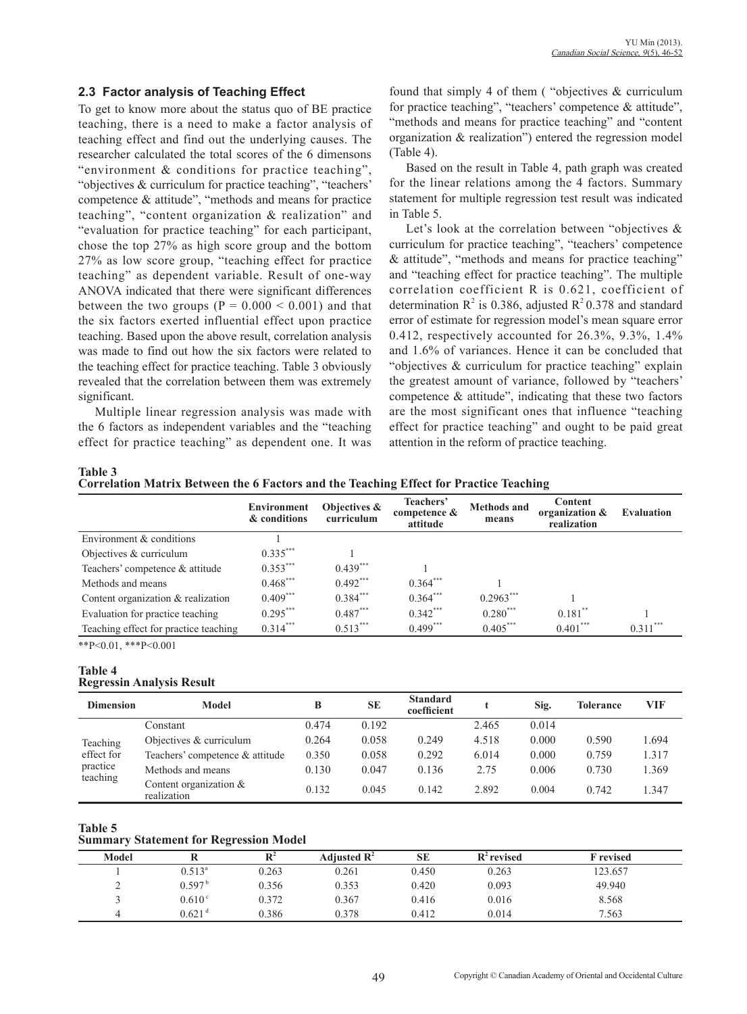#### **2.3 Factor analysis of Teaching Effect**

To get to know more about the status quo of BE practice teaching, there is a need to make a factor analysis of teaching effect and find out the underlying causes. The researcher calculated the total scores of the 6 dimensons "environment & conditions for practice teaching", "objectives & curriculum for practice teaching", "teachers' competence & attitude", "methods and means for practice teaching", "content organization & realization" and "evaluation for practice teaching" for each participant, chose the top 27% as high score group and the bottom 27% as low score group, "teaching effect for practice teaching" as dependent variable. Result of one-way ANOVA indicated that there were significant differences between the two groups  $(P = 0.000 \le 0.001)$  and that the six factors exerted influential effect upon practice teaching. Based upon the above result, correlation analysis was made to find out how the six factors were related to the teaching effect for practice teaching. Table 3 obviously revealed that the correlation between them was extremely significant.

Multiple linear regression analysis was made with the 6 factors as independent variables and the "teaching effect for practice teaching" as dependent one. It was found that simply 4 of them ( "objectives & curriculum for practice teaching", "teachers' competence & attitude", "methods and means for practice teaching" and "content organization & realization") entered the regression model (Table 4).

Based on the result in Table 4, path graph was created for the linear relations among the 4 factors. Summary statement for multiple regression test result was indicated in Table 5.

Let's look at the correlation between "objectives & curriculum for practice teaching", "teachers' competence & attitude", "methods and means for practice teaching" and "teaching effect for practice teaching". The multiple correlation coefficient R is 0.621, coefficient of determination  $R^2$  is 0.386, adjusted  $R^2$  0.378 and standard error of estimate for regression model's mean square error 0.412, respectively accounted for 26.3%, 9.3%, 1.4% and 1.6% of variances. Hence it can be concluded that "objectives & curriculum for practice teaching" explain the greatest amount of variance, followed by "teachers' competence & attitude", indicating that these two factors are the most significant ones that influence "teaching effect for practice teaching" and ought to be paid great attention in the reform of practice teaching.

**Table 3** 

**Correlation Matrix Between the 6 Factors and the Teaching Effect for Practice Teaching**

|                                       | <b>Environment</b><br>& conditions | Objectives &<br>curriculum | Teachers'<br>competence &<br>attitude | <b>Methods and</b><br>means | <b>Content</b><br>organization &<br>realization | <b>Evaluation</b> |
|---------------------------------------|------------------------------------|----------------------------|---------------------------------------|-----------------------------|-------------------------------------------------|-------------------|
| Environment & conditions              |                                    |                            |                                       |                             |                                                 |                   |
| Objectives & curriculum               | $0.335***$                         |                            |                                       |                             |                                                 |                   |
| Teachers' competence & attitude       | $0.353***$                         | $0.439***$                 |                                       |                             |                                                 |                   |
| Methods and means                     | $0.468***$                         | $0.492***$                 | $0.364***$                            |                             |                                                 |                   |
| Content organization & realization    | $0.409***$                         | $0.384$ ***                | $0.364$ ***                           | $0.2963***$                 |                                                 |                   |
| Evaluation for practice teaching      | $0.295***$                         | $0.487***$                 | $0.342***$                            | $0.280***$                  | $0.181$ <sup>**</sup>                           |                   |
| Teaching effect for practice teaching | $0.314***$                         | $0.513***$                 | $0.499***$                            | $0.405***$                  | $0.401***$                                      | $0.311***$        |

\*\*P<0.01, \*\*\*P<0.001

#### **Table 4 Regressin Analysis Result**

| <b>Dimension</b>                               | Model                                 |       | <b>SE</b> | <b>Standard</b><br>coefficient |       | Sig.  | <b>Tolerance</b> | VIF   |
|------------------------------------------------|---------------------------------------|-------|-----------|--------------------------------|-------|-------|------------------|-------|
|                                                | Constant                              | 0.474 | 0.192     |                                | 2.465 | 0.014 |                  |       |
| Teaching<br>effect for<br>practice<br>teaching | Objectives $&$ curriculum             | 0.264 | 0.058     | 0.249                          | 4.518 | 0.000 | 0.590            | 1.694 |
|                                                | Teachers' competence & attitude       | 0.350 | 0.058     | 0.292                          | 6.014 | 0.000 | 0.759            | 1.317 |
|                                                | Methods and means                     | 0.130 | 0.047     | 0.136                          | 2.75  | 0.006 | 0.730            | 1.369 |
|                                                | Content organization &<br>realization | 0.132 | 0.045     | 0.142                          | 2.892 | 0.004 | 0.742            | 1.347 |

**Table 5**

**Summary Statement for Regression Model** 

| Model |                      |       | Adjusted $\mathbb{R}^2$ | SE    | $R^2$ revised | <b>F</b> revised |
|-------|----------------------|-------|-------------------------|-------|---------------|------------------|
|       | $0.513^{\circ}$      | 0.263 | 0.261                   | 0.450 | 0.263         | 123.657          |
| ∸     | $0.597^{\,\rm b}$    | 0.356 | 0.353                   | 0.420 | 0.093         | 49.940           |
|       | 0.610 <sup>c</sup>   | 0.372 | 0.367                   | 0.416 | 0.016         | 8.568            |
|       | $0.621$ <sup>d</sup> | 0.386 | 0.378                   | 0.412 | 0.014         | 7.563            |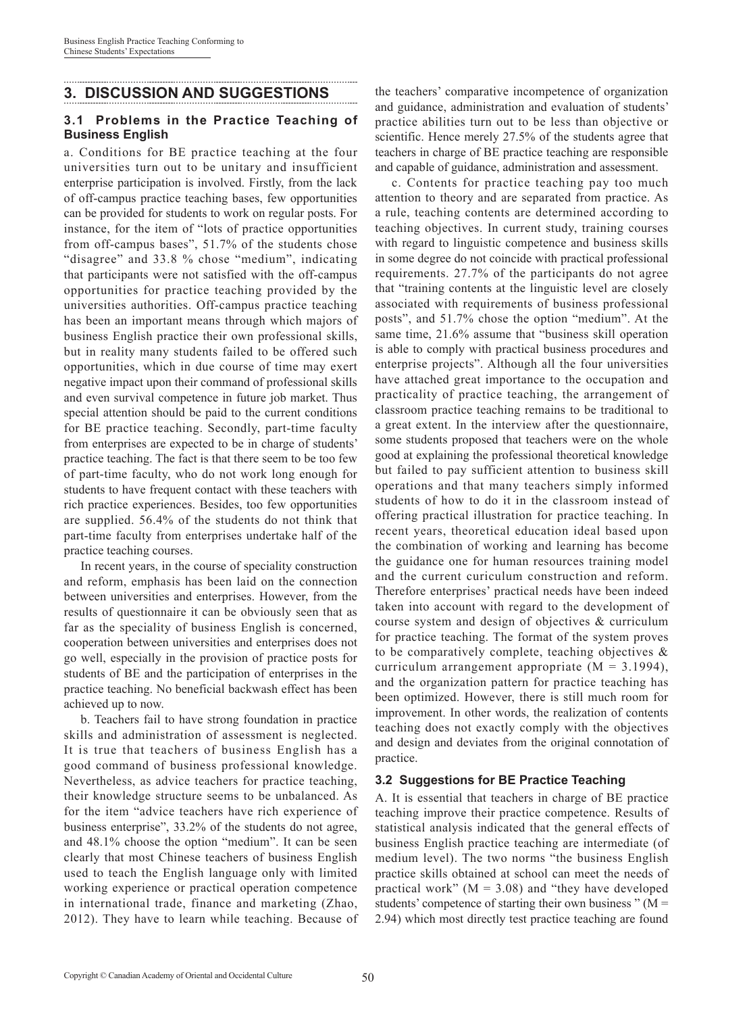## **3. DISCUSSION AND SUGGESTIONS**

#### **3.1 Problems in the Practice Teaching of Business English**

a. Conditions for BE practice teaching at the four universities turn out to be unitary and insufficient enterprise participation is involved. Firstly, from the lack of off-campus practice teaching bases, few opportunities can be provided for students to work on regular posts. For instance, for the item of "lots of practice opportunities from off-campus bases", 51.7% of the students chose "disagree" and 33.8 % chose "medium", indicating that participants were not satisfied with the off-campus opportunities for practice teaching provided by the universities authorities. Off-campus practice teaching has been an important means through which majors of business English practice their own professional skills, but in reality many students failed to be offered such opportunities, which in due course of time may exert negative impact upon their command of professional skills and even survival competence in future job market. Thus special attention should be paid to the current conditions for BE practice teaching. Secondly, part-time faculty from enterprises are expected to be in charge of students' practice teaching. The fact is that there seem to be too few of part-time faculty, who do not work long enough for students to have frequent contact with these teachers with rich practice experiences. Besides, too few opportunities are supplied. 56.4% of the students do not think that part-time faculty from enterprises undertake half of the practice teaching courses.

In recent years, in the course of speciality construction and reform, emphasis has been laid on the connection between universities and enterprises. However, from the results of questionnaire it can be obviously seen that as far as the speciality of business English is concerned, cooperation between universities and enterprises does not go well, especially in the provision of practice posts for students of BE and the participation of enterprises in the practice teaching. No beneficial backwash effect has been achieved up to now.

b. Teachers fail to have strong foundation in practice skills and administration of assessment is neglected. It is true that teachers of business English has a good command of business professional knowledge. Nevertheless, as advice teachers for practice teaching, their knowledge structure seems to be unbalanced. As for the item "advice teachers have rich experience of business enterprise", 33.2% of the students do not agree, and 48.1% choose the option "medium". It can be seen clearly that most Chinese teachers of business English used to teach the English language only with limited working experience or practical operation competence in international trade, finance and marketing (Zhao, 2012). They have to learn while teaching. Because of

the teachers' comparative incompetence of organization and guidance, administration and evaluation of students' practice abilities turn out to be less than objective or scientific. Hence merely 27.5% of the students agree that teachers in charge of BE practice teaching are responsible and capable of guidance, administration and assessment.

c. Contents for practice teaching pay too much attention to theory and are separated from practice. As a rule, teaching contents are determined according to teaching objectives. In current study, training courses with regard to linguistic competence and business skills in some degree do not coincide with practical professional requirements. 27.7% of the participants do not agree that "training contents at the linguistic level are closely associated with requirements of business professional posts", and 51.7% chose the option "medium". At the same time, 21.6% assume that "business skill operation is able to comply with practical business procedures and enterprise projects". Although all the four universities have attached great importance to the occupation and practicality of practice teaching, the arrangement of classroom practice teaching remains to be traditional to a great extent. In the interview after the questionnaire, some students proposed that teachers were on the whole good at explaining the professional theoretical knowledge but failed to pay sufficient attention to business skill operations and that many teachers simply informed students of how to do it in the classroom instead of offering practical illustration for practice teaching. In recent years, theoretical education ideal based upon the combination of working and learning has become the guidance one for human resources training model and the current curiculum construction and reform. Therefore enterprises' practical needs have been indeed taken into account with regard to the development of course system and design of objectives & curriculum for practice teaching. The format of the system proves to be comparatively complete, teaching objectives & curriculum arrangement appropriate  $(M = 3.1994)$ , and the organization pattern for practice teaching has been optimized. However, there is still much room for improvement. In other words, the realization of contents teaching does not exactly comply with the objectives and design and deviates from the original connotation of practice.

#### **3.2 Suggestions for BE Practice Teaching**

A. It is essential that teachers in charge of BE practice teaching improve their practice competence. Results of statistical analysis indicated that the general effects of business English practice teaching are intermediate (of medium level). The two norms "the business English practice skills obtained at school can meet the needs of practical work"  $(M = 3.08)$  and "they have developed students' competence of starting their own business " ( $M =$ 2.94) which most directly test practice teaching are found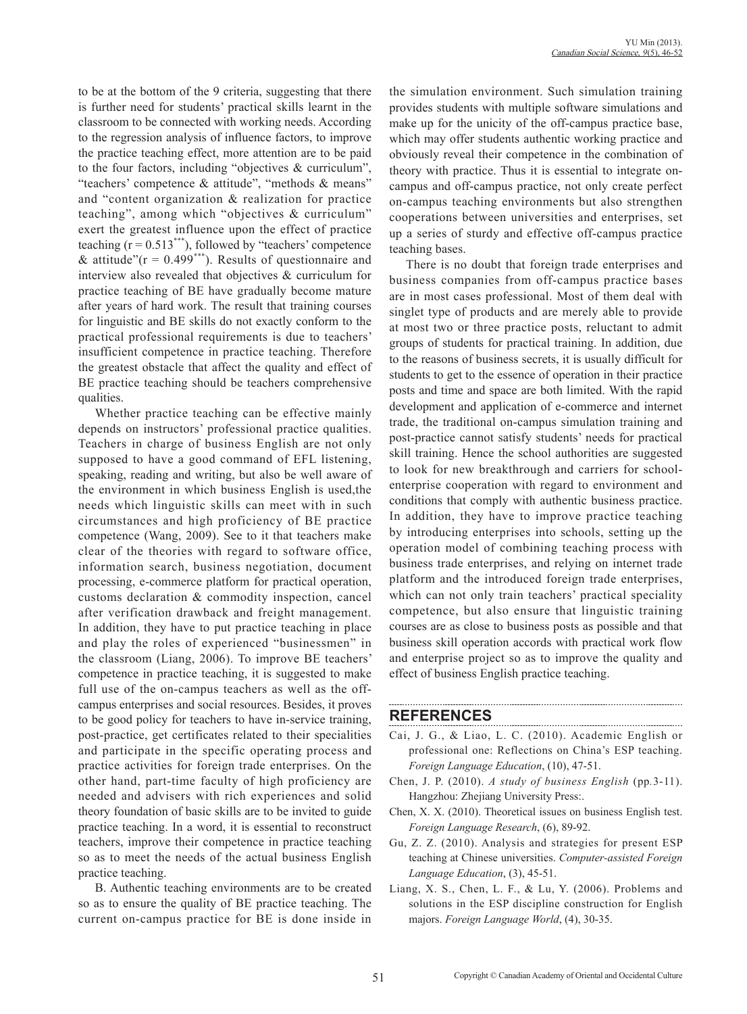to be at the bottom of the 9 criteria, suggesting that there is further need for students' practical skills learnt in the classroom to be connected with working needs. According to the regression analysis of influence factors, to improve the practice teaching effect, more attention are to be paid to the four factors, including "objectives & curriculum", "teachers' competence & attitude", "methods & means" and "content organization & realization for practice teaching", among which "objectives & curriculum" exert the greatest influence upon the effect of practice teaching  $(r = 0.513^{***})$ , followed by "teachers' competence & attitude" $(r = 0.499***^*)$ . Results of questionnaire and interview also revealed that objectives & curriculum for practice teaching of BE have gradually become mature after years of hard work. The result that training courses for linguistic and BE skills do not exactly conform to the practical professional requirements is due to teachers' insufficient competence in practice teaching. Therefore the greatest obstacle that affect the quality and effect of BE practice teaching should be teachers comprehensive qualities.

Whether practice teaching can be effective mainly depends on instructors' professional practice qualities. Teachers in charge of business English are not only supposed to have a good command of EFL listening, speaking, reading and writing, but also be well aware of the environment in which business English is used,the needs which linguistic skills can meet with in such circumstances and high proficiency of BE practice competence (Wang, 2009). See to it that teachers make clear of the theories with regard to software office, information search, business negotiation, document processing, e-commerce platform for practical operation, customs declaration & commodity inspection, cancel after verification drawback and freight management. In addition, they have to put practice teaching in place and play the roles of experienced "businessmen" in the classroom (Liang, 2006). To improve BE teachers' competence in practice teaching, it is suggested to make full use of the on-campus teachers as well as the offcampus enterprises and social resources. Besides, it proves to be good policy for teachers to have in-service training, post-practice, get certificates related to their specialities and participate in the specific operating process and practice activities for foreign trade enterprises. On the other hand, part-time faculty of high proficiency are needed and advisers with rich experiences and solid theory foundation of basic skills are to be invited to guide practice teaching. In a word, it is essential to reconstruct teachers, improve their competence in practice teaching so as to meet the needs of the actual business English practice teaching.

B. Authentic teaching environments are to be created so as to ensure the quality of BE practice teaching. The current on-campus practice for BE is done inside in the simulation environment. Such simulation training provides students with multiple software simulations and make up for the unicity of the off-campus practice base, which may offer students authentic working practice and obviously reveal their competence in the combination of theory with practice. Thus it is essential to integrate oncampus and off-campus practice, not only create perfect on-campus teaching environments but also strengthen cooperations between universities and enterprises, set up a series of sturdy and effective off-campus practice teaching bases.

There is no doubt that foreign trade enterprises and business companies from off-campus practice bases are in most cases professional. Most of them deal with singlet type of products and are merely able to provide at most two or three practice posts, reluctant to admit groups of students for practical training. In addition, due to the reasons of business secrets, it is usually difficult for students to get to the essence of operation in their practice posts and time and space are both limited. With the rapid development and application of e-commerce and internet trade, the traditional on-campus simulation training and post-practice cannot satisfy students' needs for practical skill training. Hence the school authorities are suggested to look for new breakthrough and carriers for schoolenterprise cooperation with regard to environment and conditions that comply with authentic business practice. In addition, they have to improve practice teaching by introducing enterprises into schools, setting up the operation model of combining teaching process with business trade enterprises, and relying on internet trade platform and the introduced foreign trade enterprises, which can not only train teachers' practical speciality competence, but also ensure that linguistic training courses are as close to business posts as possible and that business skill operation accords with practical work flow and enterprise project so as to improve the quality and effect of business English practice teaching.

#### **REFERENCES**

Cai, J. G., & Liao, L. C. (2010). Academic English or professional one: Reflections on China's ESP teaching. *Foreign Language Education*, (10), 47-51.

- Chen, J. P. (2010). *A study of business English* (pp*.*3-11). Hangzhou: Zhejiang University Press:.
- Chen, X. X. (2010). Theoretical issues on business English test. *Foreign Language Research*, (6), 89-92.
- Gu, Z. Z. (2010). Analysis and strategies for present ESP teaching at Chinese universities. *Computer-assisted Foreign Language Education*, (3), 45-51.
- Liang, X. S., Chen, L. F., & Lu, Y. (2006). Problems and solutions in the ESP discipline construction for English majors. *Foreign Language World*, (4), 30-35.